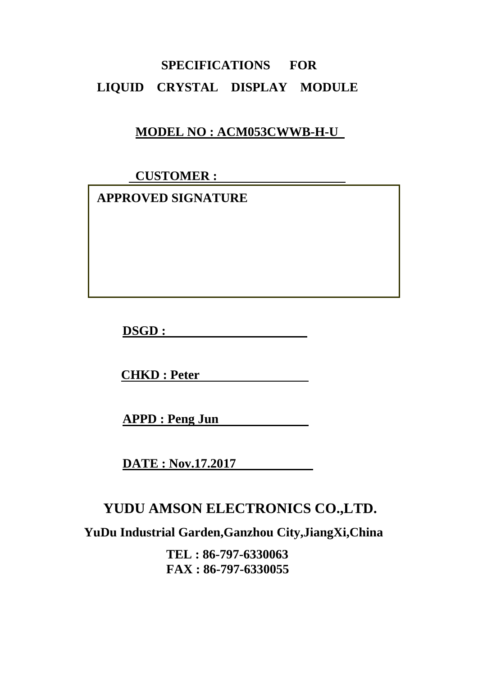# **SPECIFICATIONS FOR LIQUID CRYSTAL DISPLAY MODULE**

## **MODEL NO : ACM053CWWB-H-U**

 **CUSTOMER :** 

 **APPROVED SIGNATURE** 

**DSGD :** 

**CHKD : Peter** 

**APPD : Peng Jun** 

**DATE : Nov.17.2017** 

## **YUDU AMSON ELECTRONICS CO.,LTD.**

**YuDu Industrial Garden,Ganzhou City,JiangXi,China** 

**TEL : 86-797-6330063 FAX : 86-797-6330055**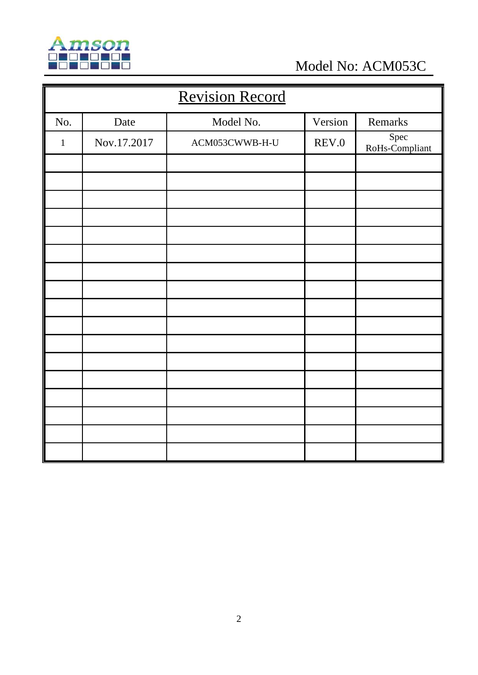

Model No: ACM053C

| <b>Revision Record</b> |             |                |         |                        |  |
|------------------------|-------------|----------------|---------|------------------------|--|
| No.                    | Date        | Model No.      | Version | Remarks                |  |
| $\mathbf{1}$           | Nov.17.2017 | ACM053CWWB-H-U | REV.0   | Spec<br>RoHs-Compliant |  |
|                        |             |                |         |                        |  |
|                        |             |                |         |                        |  |
|                        |             |                |         |                        |  |
|                        |             |                |         |                        |  |
|                        |             |                |         |                        |  |
|                        |             |                |         |                        |  |
|                        |             |                |         |                        |  |
|                        |             |                |         |                        |  |
|                        |             |                |         |                        |  |
|                        |             |                |         |                        |  |
|                        |             |                |         |                        |  |
|                        |             |                |         |                        |  |
|                        |             |                |         |                        |  |
|                        |             |                |         |                        |  |
|                        |             |                |         |                        |  |
|                        |             |                |         |                        |  |
|                        |             |                |         |                        |  |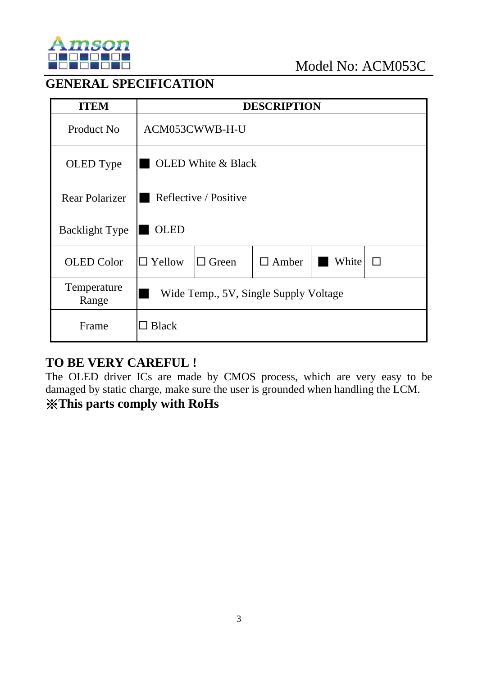

### **GENERAL SPECIFICATION**

| <b>ITEM</b>           |                                                                        |                           | <b>DESCRIPTION</b> |  |  |
|-----------------------|------------------------------------------------------------------------|---------------------------|--------------------|--|--|
| Product No            |                                                                        | ACM053CWWB-H-U            |                    |  |  |
| OLED Type             |                                                                        | <b>OLED</b> White & Black |                    |  |  |
| <b>Rear Polarizer</b> | Reflective / Positive                                                  |                           |                    |  |  |
| <b>Backlight Type</b> | <b>OLED</b>                                                            |                           |                    |  |  |
| <b>OLED</b> Color     | White<br>$\Box$ Yellow<br>$\Box$ Green<br>$\Box$ Amber<br>$\mathsf{L}$ |                           |                    |  |  |
| Temperature<br>Range  | Wide Temp., 5V, Single Supply Voltage                                  |                           |                    |  |  |
| Frame                 | <b>Black</b>                                                           |                           |                    |  |  |

### **TO BE VERY CAREFUL !**

The OLED driver ICs are made by CMOS process, which are very easy to be damaged by static charge, make sure the user is grounded when handling the LCM.

## ※**This parts comply with RoHs**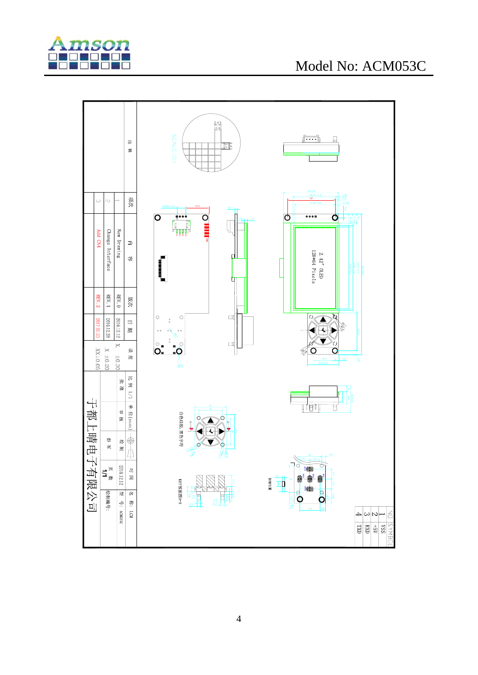

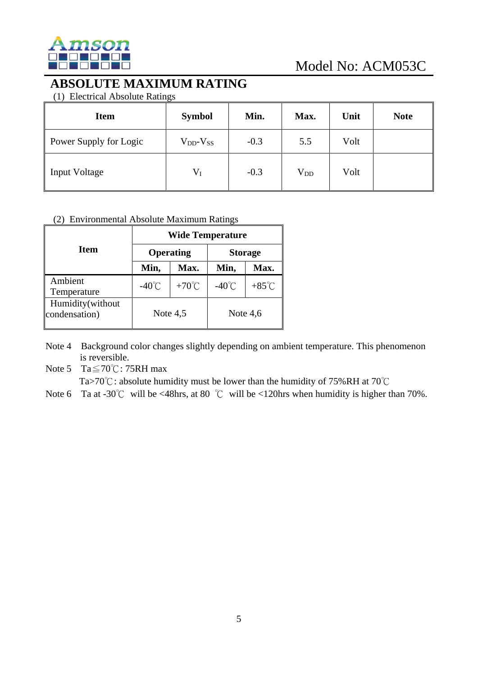

### **ABSOLUTE MAXIMUM RATING**

(1) Electrical Absolute Ratings

| <b>Item</b>            | <b>Symbol</b>       | Min.   | Max.         | Unit | <b>Note</b> |
|------------------------|---------------------|--------|--------------|------|-------------|
| Power Supply for Logic | $V_{DD}$ - $V_{SS}$ | $-0.3$ | 5.5          | Volt |             |
| <b>Input Voltage</b>   | $V_I$               | $-0.3$ | $\rm V_{DD}$ | Volt |             |

#### (2) Environmental Absolute Maximum Ratings

|                                   | <b>Wide Temperature</b> |                  |                 |                 |  |
|-----------------------------------|-------------------------|------------------|-----------------|-----------------|--|
| Item                              |                         | <b>Operating</b> | <b>Storage</b>  |                 |  |
|                                   | Min,                    | Max.             | Min,            | Max.            |  |
| Ambient<br>Temperature            | $-40^{\circ}$ C         | +70 $\degree$ C  | $-40^{\circ}$ C | $+85^{\circ}$ C |  |
| Humidity(without<br>condensation) | Note $4,5$              |                  | Note $4,6$      |                 |  |

Note 4 Background color changes slightly depending on ambient temperature. This phenomenon is reversible.

Note 5 Ta≦70℃: 75RH max

Ta>70℃: absolute humidity must be lower than the humidity of 75%RH at 70℃

Note 6 Ta at -30℃ will be <48hrs, at 80 ℃ will be <120hrs when humidity is higher than 70%.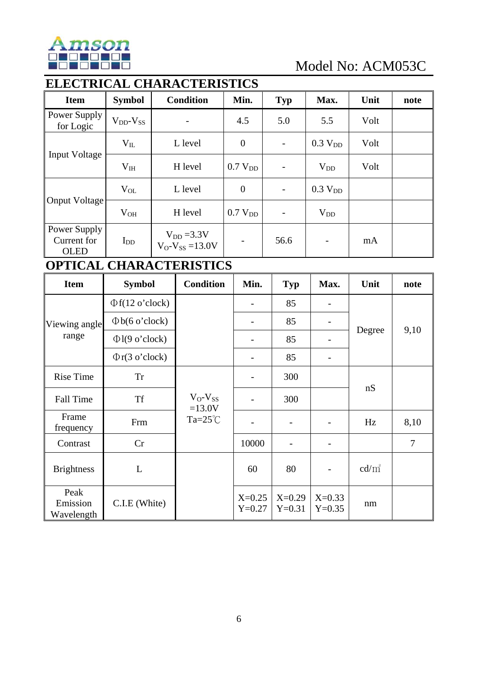

## **ELECTRICAL CHARACTERISTICS**

| <b>Item</b>                                | <b>Symbol</b>       | <b>Condition</b>                            | Min.                | <b>Typ</b>               | Max.                | Unit | note |
|--------------------------------------------|---------------------|---------------------------------------------|---------------------|--------------------------|---------------------|------|------|
| Power Supply<br>for Logic                  | $V_{DD}$ - $V_{SS}$ | -                                           | 4.5                 | 5.0                      | 5.5                 | Volt |      |
|                                            | $V_{IL}$            | L level                                     | $\boldsymbol{0}$    | $\overline{\phantom{a}}$ | 0.3 V <sub>DD</sub> | Volt |      |
| <b>Input Voltage</b>                       | $V_{IH}$            | H level                                     | 0.7 V <sub>DD</sub> |                          | $V_{DD}$            | Volt |      |
|                                            | $V_{OL}$            | L level                                     | $\theta$            | $\overline{\phantom{a}}$ | 0.3 V <sub>DD</sub> |      |      |
| Onput Voltage                              | $V_{OH}$            | H level                                     | 0.7 V <sub>DD</sub> |                          | $V_{DD}$            |      |      |
| Power Supply<br>Current for<br><b>OLED</b> | $I_{DD}$            | $V_{DD} = 3.3 V$<br>$V_O - V_{SS} = 13.0 V$ |                     | 56.6                     |                     | mA   |      |

### **OPTICAL CHARACTERISTICS**

| <b>Item</b>                    | <b>Symbol</b>                | <b>Condition</b>         | Min.                 | <b>Typ</b>               | Max.                 | Unit     | note           |
|--------------------------------|------------------------------|--------------------------|----------------------|--------------------------|----------------------|----------|----------------|
|                                | $\Phi f(12 \text{ o'clock})$ |                          |                      | 85                       |                      |          |                |
| Viewing angle                  | $\Phi$ b(6 o'clock)          |                          |                      | 85                       |                      |          |                |
| range                          | $\Phi$ l(9 o'clock)          |                          |                      | 85                       |                      | Degree   | 9,10           |
|                                | $\Phi$ r(3 o'clock)          |                          |                      | 85                       |                      |          |                |
| <b>Rise Time</b>               | <b>Tr</b>                    |                          |                      | 300                      |                      |          |                |
| <b>Fall Time</b>               | <b>Tf</b>                    | $V_O-V_{SS}$<br>$=13.0V$ |                      | 300                      |                      | nS       |                |
| Frame<br>frequency             | Frm                          |                          |                      | $\overline{\phantom{a}}$ |                      | Hz       | 8,10           |
| Contrast                       | Cr                           |                          | 10000                |                          |                      |          | $\overline{7}$ |
| <b>Brightness</b>              | L                            |                          | 60                   | 80                       |                      | $cd/m^2$ |                |
| Peak<br>Emission<br>Wavelength | C.I.E (White)                |                          | $X=0.25$<br>$Y=0.27$ | $X=0.29$<br>$Y=0.31$     | $X=0.33$<br>$Y=0.35$ | nm       |                |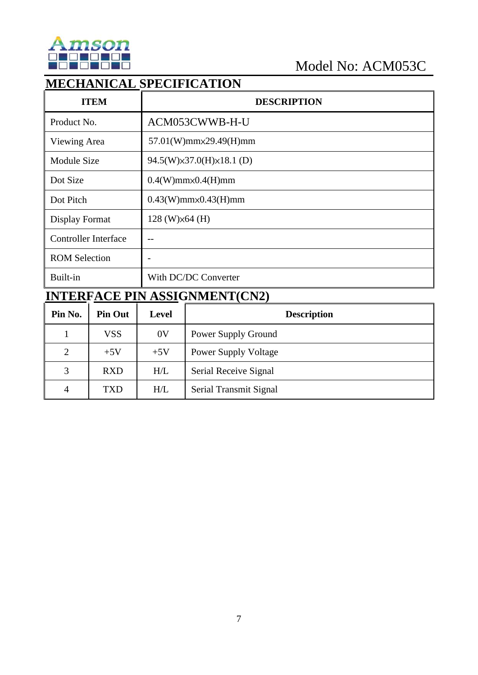

## **MECHANICAL SPECIFICATION**

| <b>ITEM</b>                 | <b>DESCRIPTION</b>                  |
|-----------------------------|-------------------------------------|
| Product No.                 | ACM053CWWB-H-U                      |
| Viewing Area                | 57.01(W)mm×29.49(H)mm               |
| <b>Module Size</b>          | $94.5(W)\times37.0(H)\times18.1(D)$ |
| Dot Size                    | $0.4(W)$ mm $\times$ 0.4(H)mm       |
| Dot Pitch                   | $0.43(W)$ mm $\times$ 0.43(H)mm     |
| Display Format              | $128$ (W) $\times$ 64 (H)           |
| <b>Controller Interface</b> | --                                  |
| <b>ROM Selection</b>        |                                     |
| Built-in                    | With DC/DC Converter                |

# **INTERFACE PIN ASSIGNMENT(CN2)**

| Pin No.        | <b>Pin Out</b> | Level          | <b>Description</b>          |
|----------------|----------------|----------------|-----------------------------|
|                | <b>VSS</b>     | 0 <sup>V</sup> | Power Supply Ground         |
| $\overline{2}$ | $+5V$          | $+5V$          | <b>Power Supply Voltage</b> |
| 3              | <b>RXD</b>     | H/L            | Serial Receive Signal       |
| 4              | <b>TXD</b>     | H/L            | Serial Transmit Signal      |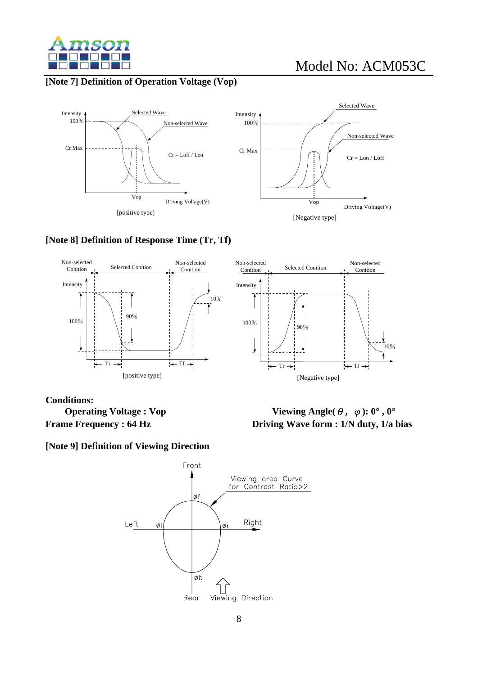

#### **[Note 7] Definition of Operation Voltage (Vop)**





#### **[Note 8] Definition of Response Time (Tr, Tf)**



#### **Conditions:**

 **Operating Voltage : Vop** Viewing Angle $(\theta, \varphi)$ : 0°, 0° **Frame Frequency : 64 Hz Driving Wave form : 1/N duty, 1/a bias** 

**[Note 9] Definition of Viewing Direction** 

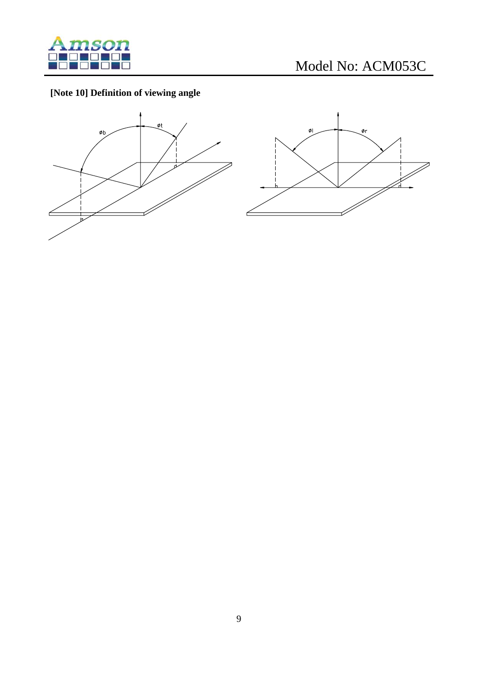

### **[Note 10] Definition of viewing angle**



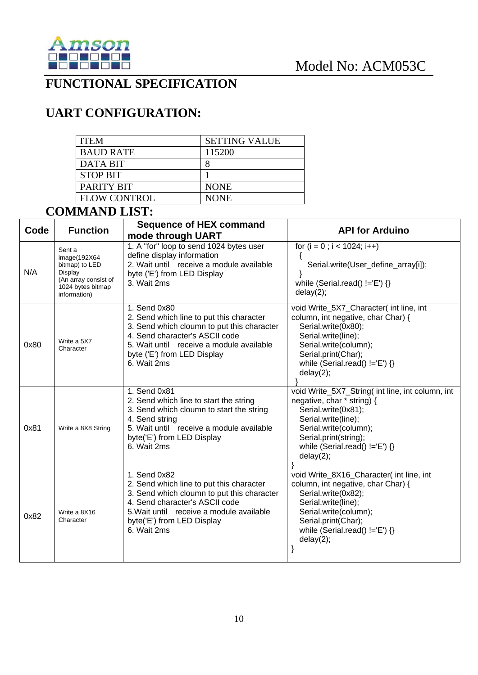

### **FUNCTIONAL SPECIFICATION**

## **UART CONFIGURATION:**

| <b>ITEM</b>         | <b>SETTING VALUE</b> |
|---------------------|----------------------|
| <b>BAUD RATE</b>    | 115200               |
| DATA BIT            |                      |
| <b>STOP BIT</b>     |                      |
| PARITY BIT          | <b>NONE</b>          |
| <b>FLOW CONTROL</b> | <b>NONE</b>          |

### **COMMAND LIST:**

| Code | <b>Function</b>                                                                                                   | <b>Sequence of HEX command</b><br>mode through UART                                                                                                                                                                                | <b>API for Arduino</b>                                                                                                                                                                                                            |
|------|-------------------------------------------------------------------------------------------------------------------|------------------------------------------------------------------------------------------------------------------------------------------------------------------------------------------------------------------------------------|-----------------------------------------------------------------------------------------------------------------------------------------------------------------------------------------------------------------------------------|
| N/A  | Sent a<br>image(192X64)<br>bitmap) to LED<br>Display<br>(An array consist of<br>1024 bytes bitmap<br>information) | 1. A "for" loop to send 1024 bytes user<br>define display information<br>2. Wait until receive a module available<br>byte ('E') from LED Display<br>3. Wait 2ms                                                                    | for $(i = 0; i < 1024; i++)$<br>$\left\{ \right.$<br>Serial.write(User_define_array[i]);<br>while (Serial.read() $!=E'$ ) {}<br>delay(2);                                                                                         |
| 0x80 | Write a 5X7<br>Character                                                                                          | 1. Send 0x80<br>2. Send which line to put this character<br>3. Send which cloumn to put this character<br>4. Send character's ASCII code<br>5. Wait until receive a module available<br>byte ('E') from LED Display<br>6. Wait 2ms | void Write_5X7_Character( int line, int<br>column, int negative, char Char) {<br>Serial.write(0x80);<br>Serial.write(line);<br>Serial.write(column);<br>Serial.print(Char);<br>while (Serial.read() $!=$ 'E') $\{\}$<br>delay(2); |
| 0x81 | Write a 8X8 String                                                                                                | 1. Send 0x81<br>2. Send which line to start the string<br>3. Send which cloumn to start the string<br>4. Send string<br>5. Wait until receive a module available<br>byte('E') from LED Display<br>6. Wait 2ms                      | void Write_5X7_String( int line, int column, int<br>negative, char * string) {<br>Serial.write(0x81);<br>Serial.write(line);<br>Serial.write(column);<br>Serial.print(string);<br>while (Serial.read() $!=$ 'E') {}<br>delay(2);  |
| 0x82 | Write a 8X16<br>Character                                                                                         | 1. Send 0x82<br>2. Send which line to put this character<br>3. Send which cloumn to put this character<br>4. Send character's ASCII code<br>5. Wait until receive a module available<br>byte('E') from LED Display<br>6. Wait 2ms  | void Write_8X16_Character( int line, int<br>column, int negative, char Char) {<br>Serial.write(0x82);<br>Serial.write(line);<br>Serial.write(column);<br>Serial.print(Char);<br>while (Serial.read() $!=E'$ ) {}<br>delay(2);     |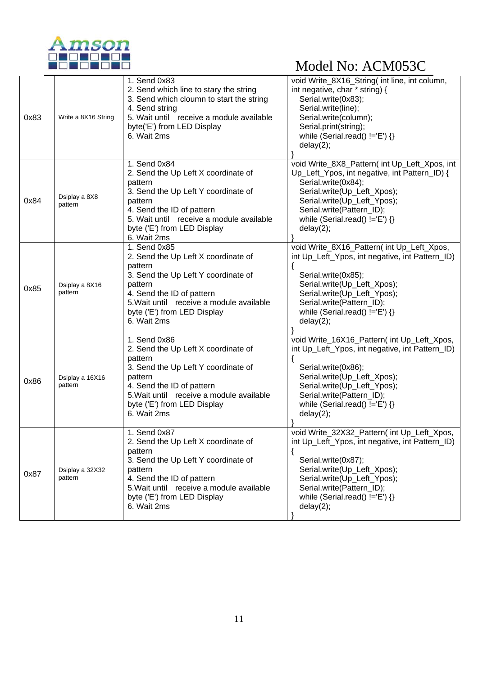

|      |                            | 1. Send 0x83                                                                                                                                                                                                                            | void Write_8X16_String( int line, int column,                                                                                                                                                                                                                            |
|------|----------------------------|-----------------------------------------------------------------------------------------------------------------------------------------------------------------------------------------------------------------------------------------|--------------------------------------------------------------------------------------------------------------------------------------------------------------------------------------------------------------------------------------------------------------------------|
| 0x83 | Write a 8X16 String        | 2. Send which line to stary the string<br>3. Send which cloumn to start the string<br>4. Send string<br>5. Wait until receive a module available<br>byte('E') from LED Display<br>6. Wait 2ms                                           | int negative, char * string) {<br>Serial.write(0x83);<br>Serial.write(line);<br>Serial.write(column);<br>Serial.print(string);<br>while (Serial.read() $!=$ 'E') {}<br>delay(2);                                                                                         |
| 0x84 | Dsiplay a 8X8<br>pattern   | 1. Send 0x84<br>2. Send the Up Left X coordinate of<br>pattern<br>3. Send the Up Left Y coordinate of<br>pattern<br>4. Send the ID of pattern<br>5. Wait until receive a module available<br>byte ('E') from LED Display<br>6. Wait 2ms | void Write_8X8_Pattern( int Up_Left_Xpos, int<br>Up_Left_Ypos, int negative, int Pattern_ID) {<br>Serial.write(0x84);<br>Serial.write(Up_Left_Xpos);<br>Serial.write(Up_Left_Ypos);<br>Serial.write(Pattern_ID);<br>while (Serial.read() $!=E$ ) {}<br>delay(2);         |
| 0x85 | Dsiplay a 8X16<br>pattern  | 1. Send 0x85<br>2. Send the Up Left X coordinate of<br>pattern<br>3. Send the Up Left Y coordinate of<br>pattern<br>4. Send the ID of pattern<br>5. Wait until receive a module available<br>byte ('E') from LED Display<br>6. Wait 2ms | void Write_8X16_Pattern( int Up_Left_Xpos,<br>int Up_Left_Ypos, int negative, int Pattern_ID)<br>$\{$<br>Serial.write(0x85);<br>Serial.write(Up_Left_Xpos);<br>Serial.write(Up_Left_Ypos);<br>Serial.write(Pattern_ID);<br>while (Serial.read() $!=E'$ ) {}<br>delay(2); |
| 0x86 | Dsiplay a 16X16<br>pattern | 1. Send 0x86<br>2. Send the Up Left X coordinate of<br>pattern<br>3. Send the Up Left Y coordinate of<br>pattern<br>4. Send the ID of pattern<br>5. Wait until receive a module available<br>byte ('E') from LED Display<br>6. Wait 2ms | void Write_16X16_Pattern( int Up_Left_Xpos,<br>int Up_Left_Ypos, int negative, int Pattern_ID)<br>Serial.write(0x86);<br>Serial.write(Up_Left_Xpos);<br>Serial.write(Up_Left_Ypos);<br>Serial.write(Pattern_ID);<br>while (Serial.read() $!=$ 'E') {}<br>delay(2);       |
| 0x87 | Dsiplay a 32X32<br>pattern | 1. Send 0x87<br>2. Send the Up Left X coordinate of<br>pattern<br>3. Send the Up Left Y coordinate of<br>pattern<br>4. Send the ID of pattern<br>5. Wait until receive a module available<br>byte ('E') from LED Display<br>6. Wait 2ms | void Write_32X32_Pattern(int Up_Left_Xpos,<br>int Up_Left_Ypos, int negative, int Pattern_ID)<br>Serial.write(0x87);<br>Serial.write(Up_Left_Xpos);<br>Serial.write(Up_Left_Ypos);<br>Serial.write(Pattern_ID);<br>while (Serial.read() $!=$ 'E') $\{\}$<br>delay(2);    |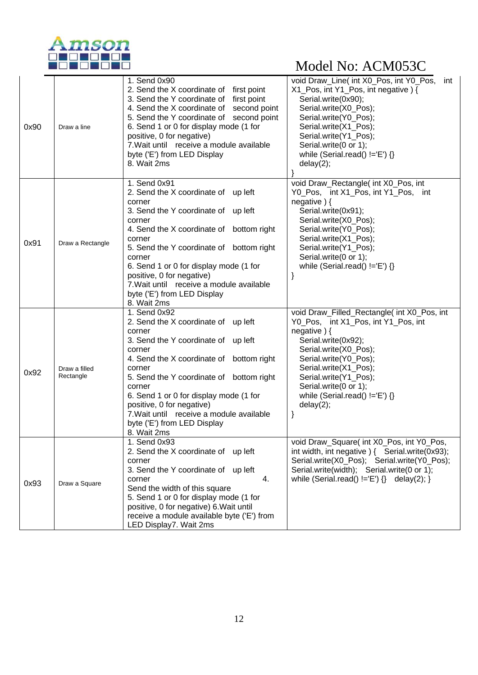

| 0x90 | Draw a line                | 1. Send 0x90<br>2. Send the X coordinate of first point<br>3. Send the Y coordinate of first point<br>4. Send the X coordinate of second point<br>5. Send the Y coordinate of second point<br>6. Send 1 or 0 for display mode (1 for<br>positive, 0 for negative)<br>7. Wait until receive a module available<br>byte ('E') from LED Display                                                | void Draw_Line( int X0_Pos, int Y0_Pos,<br>int<br>X1_Pos, int Y1_Pos, int negative) {<br>Serial.write(0x90);<br>Serial.write(X0_Pos);<br>Serial.write(Y0_Pos);<br>Serial.write(X1 Pos);<br>Serial.write(Y1_Pos);<br>Serial.write(0 or 1);<br>while (Serial.read() $!=$ 'E') $\{\}$                             |
|------|----------------------------|---------------------------------------------------------------------------------------------------------------------------------------------------------------------------------------------------------------------------------------------------------------------------------------------------------------------------------------------------------------------------------------------|----------------------------------------------------------------------------------------------------------------------------------------------------------------------------------------------------------------------------------------------------------------------------------------------------------------|
|      |                            | 8. Wait 2ms                                                                                                                                                                                                                                                                                                                                                                                 | delay(2);                                                                                                                                                                                                                                                                                                      |
| 0x91 | Draw a Rectangle           | 1. Send 0x91<br>2. Send the X coordinate of up left<br>corner<br>3. Send the Y coordinate of up left<br>corner<br>4. Send the X coordinate of bottom right<br>corner<br>5. Send the Y coordinate of bottom right<br>corner<br>6. Send 1 or 0 for display mode (1 for<br>positive, 0 for negative)<br>7. Wait until receive a module available<br>byte ('E') from LED Display<br>8. Wait 2ms | void Draw_Rectangle( int X0_Pos, int<br>Y0_Pos, int X1_Pos, int Y1_Pos, int<br>negative $)$ {<br>Serial.write(0x91);<br>Serial.write(X0_Pos);<br>Serial.write(Y0_Pos);<br>Serial.write(X1_Pos);<br>Serial.write(Y1_Pos);<br>Serial.write(0 or 1);<br>while (Serial.read() $!=$ 'E') {}                         |
| 0x92 | Draw a filled<br>Rectangle | 1. Send 0x92<br>2. Send the X coordinate of up left<br>corner<br>3. Send the Y coordinate of up left<br>corner<br>4. Send the X coordinate of bottom right<br>corner<br>5. Send the Y coordinate of bottom right<br>corner<br>6. Send 1 or 0 for display mode (1 for<br>positive, 0 for negative)<br>7. Wait until receive a module available<br>byte ('E') from LED Display<br>8. Wait 2ms | void Draw_Filled_Rectangle( int X0_Pos, int<br>Y0_Pos, int X1_Pos, int Y1_Pos, int<br>negative $)$ {<br>Serial.write(0x92);<br>Serial.write(X0_Pos);<br>Serial.write(Y0_Pos);<br>Serial.write(X1_Pos);<br>Serial.write(Y1_Pos);<br>Serial.write(0 or 1);<br>while (Serial.read() $!=E'$ ) {}<br>delay(2);<br>} |
| 0x93 | Draw a Square              | 1. Send 0x93<br>2. Send the X coordinate of up left<br>corner<br>3. Send the Y coordinate of up left<br>4.<br>corner<br>Send the width of this square<br>5. Send 1 or 0 for display mode (1 for<br>positive, 0 for negative) 6. Wait until<br>receive a module available byte ('E') from<br>LED Display7. Wait 2ms                                                                          | void Draw_Square( int X0_Pos, int Y0_Pos,<br>int width, int negative ) { Serial.write(0x93);<br>Serial.write(X0_Pos); Serial.write(Y0_Pos);<br>Serial.write(width); Serial.write(0 or 1);<br>while (Serial.read() $!=$ $E'$ ) $\}$ delay(2); }                                                                 |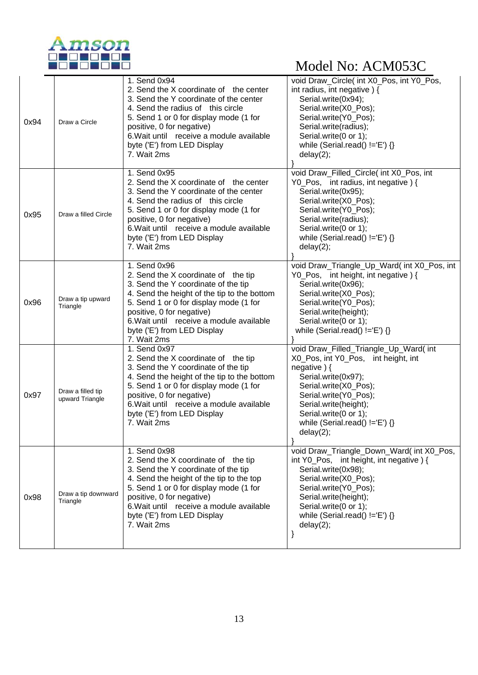

| 0x94 | Draw a Circle                                                                                                                                                                                                                                                                                                                  | 1. Send 0x94<br>2. Send the X coordinate of the center<br>3. Send the Y coordinate of the center<br>4. Send the radius of this circle<br>5. Send 1 or 0 for display mode (1 for<br>positive, 0 for negative)<br>6. Wait until receive a module available<br>byte ('E') from LED Display<br>7. Wait 2ms     | void Draw_Circle( int X0_Pos, int Y0_Pos,<br>int radius, int negative) {<br>Serial.write(0x94);<br>Serial.write(X0_Pos);<br>Serial.write(Y0_Pos);<br>Serial.write(radius);<br>Serial.write(0 or 1);<br>while (Serial.read() $!=$ 'E') {}<br>delay(2);                       |
|------|--------------------------------------------------------------------------------------------------------------------------------------------------------------------------------------------------------------------------------------------------------------------------------------------------------------------------------|------------------------------------------------------------------------------------------------------------------------------------------------------------------------------------------------------------------------------------------------------------------------------------------------------------|-----------------------------------------------------------------------------------------------------------------------------------------------------------------------------------------------------------------------------------------------------------------------------|
| 0x95 | 1. Send 0x95<br>2. Send the X coordinate of the center<br>3. Send the Y coordinate of the center<br>4. Send the radius of this circle<br>5. Send 1 or 0 for display mode (1 for<br>Draw a filled Circle<br>positive, 0 for negative)<br>6. Wait until receive a module available<br>byte ('E') from LED Display<br>7. Wait 2ms |                                                                                                                                                                                                                                                                                                            | void Draw_Filled_Circle( int X0_Pos, int<br>Y0_Pos, int radius, int negative) {<br>Serial.write(0x95);<br>Serial.write(X0_Pos);<br>Serial.write(Y0_Pos);<br>Serial.write(radius);<br>Serial.write(0 or 1);<br>while (Serial.read() $!=$ 'E') {}<br>delay(2);                |
| 0x96 | Draw a tip upward<br>Triangle                                                                                                                                                                                                                                                                                                  | 1. Send 0x96<br>2. Send the X coordinate of the tip<br>3. Send the Y coordinate of the tip<br>4. Send the height of the tip to the bottom<br>5. Send 1 or 0 for display mode (1 for<br>positive, 0 for negative)<br>6. Wait until receive a module available<br>byte ('E') from LED Display<br>7. Wait 2ms | void Draw_Triangle_Up_Ward( int X0_Pos, int<br>Y0_Pos, int height, int negative) {<br>Serial.write(0x96);<br>Serial.write(X0_Pos);<br>Serial.write(Y0_Pos);<br>Serial.write(height);<br>Serial.write(0 or 1);<br>while (Serial.read() $!=$ 'E') {}                          |
| 0x97 | Draw a filled tip<br>upward Triangle                                                                                                                                                                                                                                                                                           | 1. Send 0x97<br>2. Send the X coordinate of the tip<br>3. Send the Y coordinate of the tip<br>4. Send the height of the tip to the bottom<br>5. Send 1 or 0 for display mode (1 for<br>positive, 0 for negative)<br>6. Wait until receive a module available<br>byte ('E') from LED Display<br>7. Wait 2ms | void Draw_Filled_Triangle_Up_Ward( int<br>X0_Pos, int Y0_Pos, int height, int<br>negative $)$ {<br>Serial.write(0x97);<br>Serial.write(X0_Pos);<br>Serial.write(Y0_Pos);<br>Serial.write(height);<br>Serial.write(0 or 1);<br>while (Serial.read() $!=E'$ ) {}<br>delay(2); |
| 0x98 | Draw a tip downward<br>Triangle                                                                                                                                                                                                                                                                                                | 1. Send 0x98<br>2. Send the X coordinate of the tip<br>3. Send the Y coordinate of the tip<br>4. Send the height of the tip to the top<br>5. Send 1 or 0 for display mode (1 for<br>positive, 0 for negative)<br>6. Wait until receive a module available<br>byte ('E') from LED Display<br>7. Wait 2ms    | void Draw_Triangle_Down_Ward( int X0_Pos,<br>int Y0_Pos, int height, int negative) {<br>Serial.write(0x98);<br>Serial.write(X0_Pos);<br>Serial.write(Y0_Pos);<br>Serial.write(height);<br>Serial.write(0 or 1);<br>while (Serial.read() $!=$ 'E') {}<br>delay(2);<br>}      |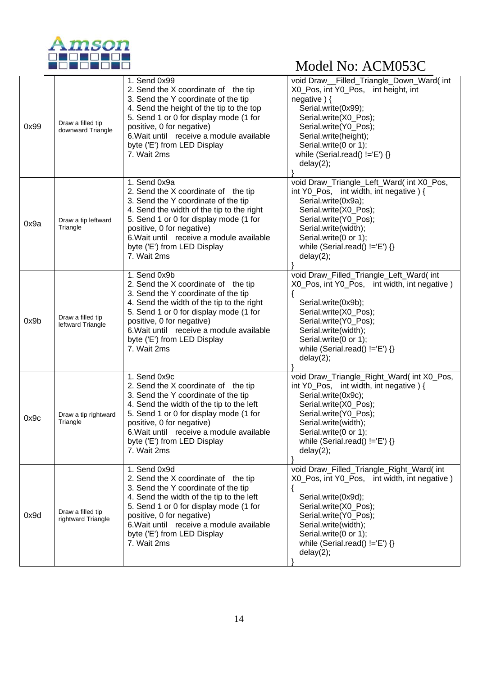

| 0x99 | Draw a filled tip<br>downward Triangle  | 1. Send 0x99<br>2. Send the X coordinate of the tip<br>3. Send the Y coordinate of the tip<br>4. Send the height of the tip to the top<br>5. Send 1 or 0 for display mode (1 for<br>positive, 0 for negative)<br>6. Wait until receive a module available<br>byte ('E') from LED Display<br>7. Wait 2ms  | void Draw_Filled_Triangle_Down_Ward(int<br>X0 Pos, int Y0 Pos, int height, int<br>negative) {<br>Serial.write(0x99);<br>Serial.write(X0_Pos);<br>Serial.write(Y0_Pos);<br>Serial.write(height);<br>Serial.write(0 or 1);<br>while (Serial.read() $!=E'$ ) {}<br>delay(2); |
|------|-----------------------------------------|----------------------------------------------------------------------------------------------------------------------------------------------------------------------------------------------------------------------------------------------------------------------------------------------------------|---------------------------------------------------------------------------------------------------------------------------------------------------------------------------------------------------------------------------------------------------------------------------|
| 0x9a | Draw a tip leftward<br>Triangle         | 1. Send 0x9a<br>2. Send the X coordinate of the tip<br>3. Send the Y coordinate of the tip<br>4. Send the width of the tip to the right<br>5. Send 1 or 0 for display mode (1 for<br>positive, 0 for negative)<br>6. Wait until receive a module available<br>byte ('E') from LED Display<br>7. Wait 2ms | void Draw_Triangle_Left_Ward( int X0_Pos,<br>int Y0_Pos, int width, int negative) {<br>Serial.write(0x9a);<br>Serial.write(X0_Pos);<br>Serial.write(Y0_Pos);<br>Serial.write(width);<br>Serial.write(0 or 1);<br>while (Serial.read() $!=$ 'E') {}<br>delay(2);           |
| 0x9b | Draw a filled tip<br>leftward Triangle  | 1. Send 0x9b<br>2. Send the X coordinate of the tip<br>3. Send the Y coordinate of the tip<br>4. Send the width of the tip to the right<br>5. Send 1 or 0 for display mode (1 for<br>positive, 0 for negative)<br>6. Wait until receive a module available<br>byte ('E') from LED Display<br>7. Wait 2ms | void Draw_Filled_Triangle_Left_Ward( int<br>X0_Pos, int Y0_Pos, int width, int negative)<br>Serial.write(0x9b);<br>Serial.write(X0_Pos);<br>Serial.write(Y0_Pos);<br>Serial.write(width);<br>Serial.write(0 or 1);<br>while (Serial.read() $!=$ 'E') {}<br>delay(2);      |
| 0x9c | Draw a tip rightward<br>Triangle        | 1. Send 0x9c<br>2. Send the X coordinate of the tip<br>3. Send the Y coordinate of the tip<br>4. Send the width of the tip to the left<br>5. Send 1 or 0 for display mode (1 for<br>positive, 0 for negative)<br>6. Wait until receive a module available<br>byte ('E') from LED Display<br>7. Wait 2ms  | void Draw_Triangle_Right_Ward(int X0_Pos,<br>int Y0_Pos, int width, int negative) {<br>Serial.write(0x9c);<br>Serial.write(X0_Pos);<br>Serial.write(Y0_Pos);<br>Serial.write(width);<br>Serial.write(0 or 1);<br>while (Serial.read() $!=$ 'E') {}<br>delay(2);           |
| 0x9d | Draw a filled tip<br>rightward Triangle | 1. Send 0x9d<br>2. Send the X coordinate of the tip<br>3. Send the Y coordinate of the tip<br>4. Send the width of the tip to the left<br>5. Send 1 or 0 for display mode (1 for<br>positive, 0 for negative)<br>6. Wait until receive a module available<br>byte ('E') from LED Display<br>7. Wait 2ms  | void Draw_Filled_Triangle_Right_Ward(int<br>X0_Pos, int Y0_Pos, int width, int negative)<br>Serial.write(0x9d);<br>Serial.write(X0_Pos);<br>Serial.write(Y0_Pos);<br>Serial.write(width);<br>Serial.write(0 or 1);<br>while (Serial.read() $!=E$ ) {}<br>delay(2);        |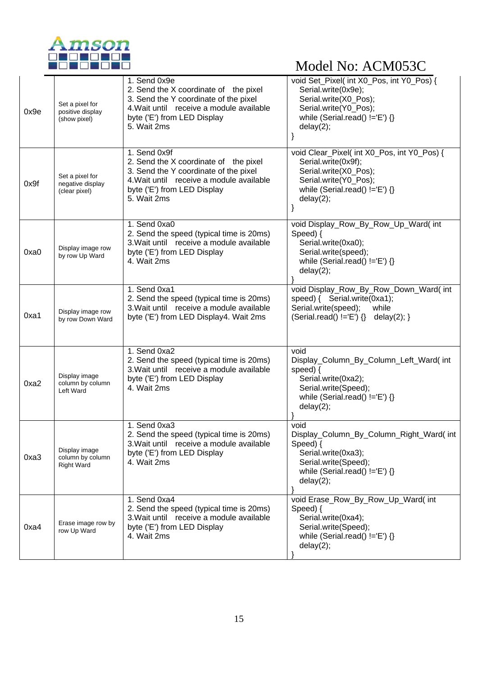

| 0x9e | Set a pixel for<br>positive display<br>(show pixel)                                                                                                                                                                                              | 1. Send 0x9e<br>2. Send the X coordinate of the pixel<br>3. Send the Y coordinate of the pixel<br>4. Wait until receive a module available<br>byte ('E') from LED Display<br>5. Wait 2ms | void Set_Pixel( int X0_Pos, int Y0_Pos) {<br>Serial.write(0x9e);<br>Serial.write(X0_Pos);<br>Serial.write(Y0_Pos);<br>while (Serial.read() $!=E'$ ) {}<br>delay(2);    |
|------|--------------------------------------------------------------------------------------------------------------------------------------------------------------------------------------------------------------------------------------------------|------------------------------------------------------------------------------------------------------------------------------------------------------------------------------------------|------------------------------------------------------------------------------------------------------------------------------------------------------------------------|
| 0x9f | 1. Send 0x9f<br>2. Send the X coordinate of the pixel<br>3. Send the Y coordinate of the pixel<br>Set a pixel for<br>4. Wait until receive a module available<br>negative display<br>byte ('E') from LED Display<br>(clear pixel)<br>5. Wait 2ms |                                                                                                                                                                                          | void Clear_Pixel( int X0_Pos, int Y0_Pos) {<br>Serial.write(0x9f);<br>Serial.write(X0_Pos);<br>Serial.write(Y0_Pos);<br>while (Serial.read() $!=$ 'E') {}<br>delay(2); |
| 0xa0 | Display image row<br>by row Up Ward                                                                                                                                                                                                              | 1. Send 0xa0<br>2. Send the speed (typical time is 20ms)<br>3. Wait until receive a module available<br>byte ('E') from LED Display<br>4. Wait 2ms                                       | void Display_Row_By_Row_Up_Ward(int<br>Speed) {<br>Serial.write(0xa0);<br>Serial.write(speed);<br>while (Serial.read() $!=$ 'E') {}<br>delay(2);                       |
| 0xa1 | Display image row<br>by row Down Ward                                                                                                                                                                                                            | 1. Send 0xa1<br>2. Send the speed (typical time is 20ms)<br>3. Wait until receive a module available<br>byte ('E') from LED Display4. Wait 2ms                                           | void Display_Row_By_Row_Down_Ward( int<br>speed) { Serial.write(0xa1);<br>Serial.write(speed);<br>while<br>$(Serial.read() != 'E') \$ delay(2); }                      |
| 0xa2 | Display image<br>column by column<br>Left Ward                                                                                                                                                                                                   | 1. Send 0xa2<br>2. Send the speed (typical time is 20ms)<br>3. Wait until receive a module available<br>byte ('E') from LED Display<br>4. Wait 2ms                                       | void<br>Display_Column_By_Column_Left_Ward( int<br>speed) $\{$<br>Serial.write(0xa2);<br>Serial.write(Speed);<br>while (Serial.read() $!=E'$ ) {}<br>delay(2);         |
| 0xa3 | Display image<br>column by column<br><b>Right Ward</b>                                                                                                                                                                                           | 1. Send 0xa3<br>2. Send the speed (typical time is 20ms)<br>3. Wait until receive a module available<br>byte ('E') from LED Display<br>4. Wait 2ms                                       | void<br>Display_Column_By_Column_Right_Ward(int<br>Speed) {<br>Serial.write(0xa3);<br>Serial.write(Speed);<br>while (Serial.read() $!=$ 'E') {}<br>delay(2);           |
| 0xa4 | Erase image row by<br>row Up Ward                                                                                                                                                                                                                | 1. Send 0xa4<br>2. Send the speed (typical time is 20ms)<br>3. Wait until receive a module available<br>byte ('E') from LED Display<br>4. Wait 2ms                                       | void Erase_Row_By_Row_Up_Ward( int<br>Speed) {<br>Serial.write(0xa4);<br>Serial.write(Speed);<br>while (Serial.read() $!=$ 'E') {}<br>delay(2);                        |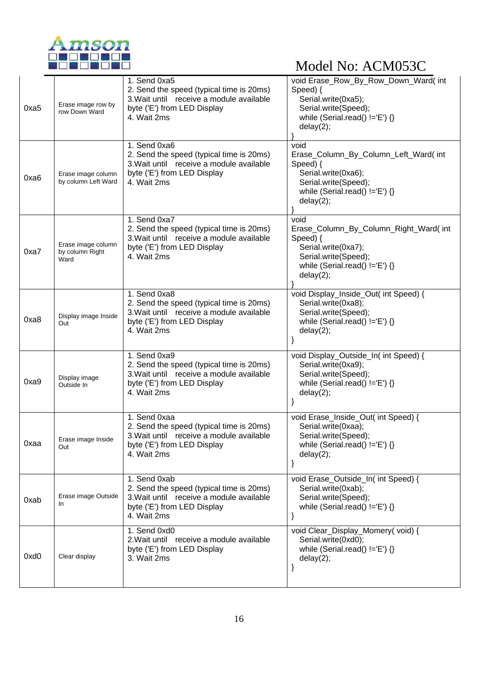

| 0xa5 | Erase image row by<br>row Down Ward           | 1. Send 0xa5<br>2. Send the speed (typical time is 20ms)<br>3. Wait until receive a module available<br>byte ('E') from LED Display<br>4. Wait 2ms | void Erase_Row_By_Row_Down_Ward( int<br>Speed) {<br>Serial.write(0xa5);<br>Serial.write(Speed);<br>while (Serial.read() $!=$ 'E') {}<br>delay(2);          |
|------|-----------------------------------------------|----------------------------------------------------------------------------------------------------------------------------------------------------|------------------------------------------------------------------------------------------------------------------------------------------------------------|
| 0xa6 | Erase image column<br>by column Left Ward     | 1. Send 0xa6<br>2. Send the speed (typical time is 20ms)<br>3. Wait until receive a module available<br>byte ('E') from LED Display<br>4. Wait 2ms | void<br>Erase_Column_By_Column_Left_Ward( int<br>Speed) {<br>Serial.write(0xa6);<br>Serial.write(Speed);<br>while (Serial.read() $!=E'$ ) {}<br>delay(2);  |
| 0xa7 | Erase image column<br>by column Right<br>Ward | 1. Send 0xa7<br>2. Send the speed (typical time is 20ms)<br>3. Wait until receive a module available<br>byte ('E') from LED Display<br>4. Wait 2ms | void<br>Erase_Column_By_Column_Right_Ward(int<br>Speed) {<br>Serial.write(0xa7);<br>Serial.write(Speed);<br>while (Serial.read() $!=$ 'E') {}<br>delay(2); |
| 0xa8 | Display image Inside<br>Out                   | 1. Send 0xa8<br>2. Send the speed (typical time is 20ms)<br>3. Wait until receive a module available<br>byte ('E') from LED Display<br>4. Wait 2ms | void Display_Inside_Out( int Speed) {<br>Serial.write(0xa8);<br>Serial.write(Speed);<br>while (Serial.read() $!=E'$ ) {}<br>delay(2);<br>}                 |
| 0xa9 | Display image<br>Outside In                   | 1. Send 0xa9<br>2. Send the speed (typical time is 20ms)<br>3. Wait until receive a module available<br>byte ('E') from LED Display<br>4. Wait 2ms | void Display_Outside_In( int Speed) {<br>Serial.write(0xa9);<br>Serial.write(Speed);<br>while (Serial.read() $!=$ 'E') {}<br>delay(2);                     |
| 0xaa | Erase image Inside<br>Out                     | 1. Send 0xaa<br>2. Send the speed (typical time is 20ms)<br>3. Wait until receive a module available<br>byte ('E') from LED Display<br>4. Wait 2ms | void Erase_Inside_Out( int Speed) {<br>Serial.write(0xaa);<br>Serial.write(Speed);<br>while (Serial.read() $!=$ 'E') {}<br>delay(2);                       |
| 0xab | Erase image Outside<br>In.                    | 1. Send 0xab<br>2. Send the speed (typical time is 20ms)<br>3. Wait until receive a module available<br>byte ('E') from LED Display<br>4. Wait 2ms | void Erase_Outside_In( int Speed) {<br>Serial.write(0xab);<br>Serial.write(Speed);<br>while (Serial.read() $!=$ 'E') {}                                    |
| 0xd0 | Clear display                                 | 1. Send 0xd0<br>2. Wait until receive a module available<br>byte ('E') from LED Display<br>3. Wait 2ms                                             | void Clear_Display_Momery(void) {<br>Serial.write(0xd0);<br>while (Serial.read() $!=E'$ ) {}<br>delay(2);<br>}                                             |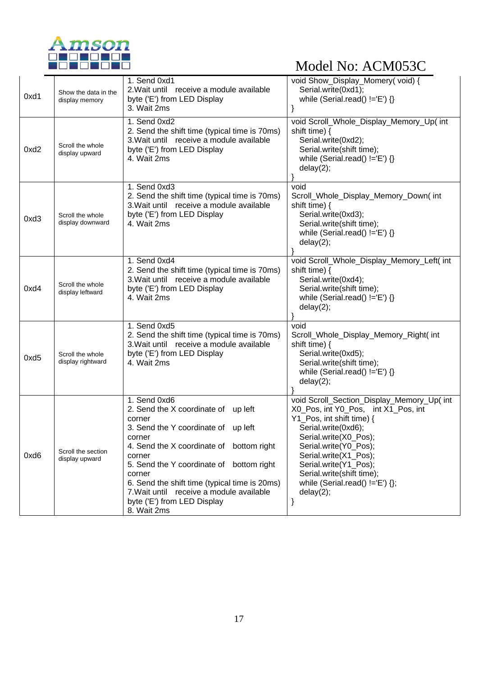

| 0xd1 | Show the data in the<br>display memory | 1. Send 0xd1<br>2. Wait until receive a module available<br>byte ('E') from LED Display<br>3. Wait 2ms                                                                                                                                                                                                                                                                | void Show_Display_Momery(void) {<br>Serial.write(0xd1);<br>while (Serial.read() $!=$ 'E') {}                                                                                                                                                                                                                                          |
|------|----------------------------------------|-----------------------------------------------------------------------------------------------------------------------------------------------------------------------------------------------------------------------------------------------------------------------------------------------------------------------------------------------------------------------|---------------------------------------------------------------------------------------------------------------------------------------------------------------------------------------------------------------------------------------------------------------------------------------------------------------------------------------|
| 0xd2 | Scroll the whole<br>display upward     | 1. Send 0xd2<br>2. Send the shift time (typical time is 70ms)<br>3. Wait until receive a module available<br>byte ('E') from LED Display<br>4. Wait 2ms                                                                                                                                                                                                               | void Scroll_Whole_Display_Memory_Up( int<br>shift time) $\{$<br>Serial.write(0xd2);<br>Serial.write(shift time);<br>while (Serial.read() $!=E'$ ) {}<br>delay(2);                                                                                                                                                                     |
| 0xd3 | Scroll the whole<br>display downward   | 1. Send 0xd3<br>2. Send the shift time (typical time is 70ms)<br>3. Wait until receive a module available<br>byte ('E') from LED Display<br>4. Wait 2ms                                                                                                                                                                                                               | void<br>Scroll_Whole_Display_Memory_Down(int<br>shift time) $\{$<br>Serial.write(0xd3);<br>Serial.write(shift time);<br>while (Serial.read() $!=$ 'E') $\{\}$<br>delay(2);                                                                                                                                                            |
| 0xd4 | Scroll the whole<br>display leftward   | 1. Send 0xd4<br>2. Send the shift time (typical time is 70ms)<br>3. Wait until receive a module available<br>byte ('E') from LED Display<br>4. Wait 2ms                                                                                                                                                                                                               | void Scroll_Whole_Display_Memory_Left( int<br>shift time) {<br>Serial.write(0xd4);<br>Serial.write(shift time);<br>while (Serial.read() $!=E'$ ) {}<br>delay(2);                                                                                                                                                                      |
| 0xd5 | Scroll the whole<br>display rightward  | 1. Send 0xd5<br>2. Send the shift time (typical time is 70ms)<br>3. Wait until receive a module available<br>byte ('E') from LED Display<br>4. Wait 2ms                                                                                                                                                                                                               | void<br>Scroll_Whole_Display_Memory_Right(int<br>shift time) {<br>Serial.write(0xd5);<br>Serial.write(shift time);<br>while (Serial.read() $!=$ 'E') {}<br>delay(2);                                                                                                                                                                  |
| 0xd6 | Scroll the section<br>display upward   | 1. Send 0xd6<br>2. Send the X coordinate of up left<br>corner<br>3. Send the Y coordinate of up left<br>corner<br>4. Send the X coordinate of bottom right<br>corner<br>5. Send the Y coordinate of bottom right<br>corner<br>6. Send the shift time (typical time is 20ms)<br>7. Wait until receive a module available<br>byte ('E') from LED Display<br>8. Wait 2ms | void Scroll_Section_Display_Memory_Up( int<br>X0_Pos, int Y0_Pos, int X1_Pos, int<br>Y1_Pos, int shift time) {<br>Serial.write(0xd6);<br>Serial.write(X0_Pos);<br>Serial.write(Y0_Pos);<br>Serial.write(X1_Pos);<br>Serial.write(Y1_Pos);<br>Serial.write(shift time);<br>while (Serial.read() $!=$ $E'$ ) $\{\}$ ;<br>delay(2);<br>} |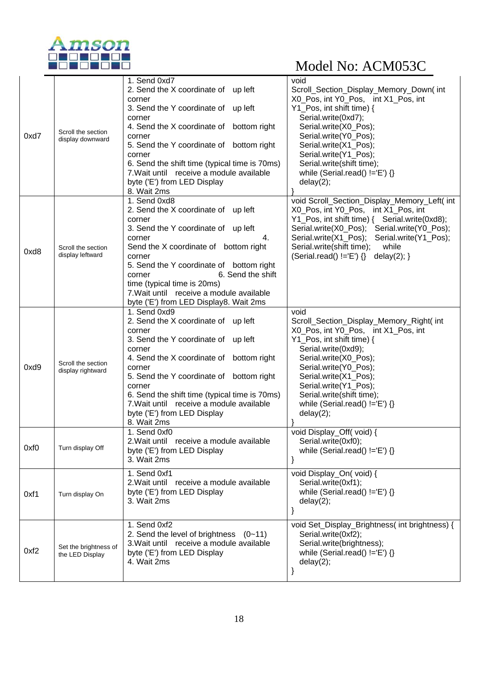

|      |                                          | 1. Send 0xd7                                                                       | void                                                                          |
|------|------------------------------------------|------------------------------------------------------------------------------------|-------------------------------------------------------------------------------|
|      |                                          | 2. Send the X coordinate of up left<br>corner                                      | Scroll_Section_Display_Memory_Down(int<br>X0_Pos, int Y0_Pos, int X1_Pos, int |
|      |                                          | 3. Send the Y coordinate of up left                                                | Y1_Pos, int shift time) {                                                     |
|      |                                          | corner                                                                             | Serial.write(0xd7);                                                           |
|      | Scroll the section                       | 4. Send the X coordinate of bottom right                                           | Serial.write(X0_Pos);                                                         |
| 0xd7 | display downward                         | corner<br>5. Send the Y coordinate of bottom right                                 | Serial.write(Y0_Pos);<br>Serial.write(X1_Pos);                                |
|      |                                          | corner                                                                             | Serial.write(Y1 Pos);                                                         |
|      |                                          | 6. Send the shift time (typical time is 70ms)                                      | Serial.write(shift time);                                                     |
|      |                                          | 7. Wait until receive a module available<br>byte ('E') from LED Display            | while (Serial.read() $!=$ 'E') {}<br>delay(2);                                |
|      |                                          | 8. Wait 2ms                                                                        |                                                                               |
|      |                                          | 1. Send 0xd8                                                                       | void Scroll_Section_Display_Memory_Left( int                                  |
|      |                                          | 2. Send the X coordinate of up left                                                | X0_Pos, int Y0_Pos, int X1_Pos, int                                           |
|      |                                          | corner<br>3. Send the Y coordinate of up left                                      | Serial.write(X0_Pos); Serial.write(Y0_Pos);                                   |
|      |                                          | 4.<br>corner                                                                       | Serial.write(X1_Pos); Serial.write(Y1_Pos);                                   |
| 0xd8 | Scroll the section                       | Send the X coordinate of bottom right                                              | Serial.write(shift time);<br>while                                            |
|      | display leftward                         | corner<br>5. Send the Y coordinate of bottom right                                 | $(Serial.read() != 'E') \$ delay(2); }                                        |
|      |                                          | 6. Send the shift<br>corner                                                        |                                                                               |
|      |                                          | time (typical time is 20ms)                                                        |                                                                               |
|      |                                          | 7. Wait until receive a module available<br>byte ('E') from LED Display8. Wait 2ms |                                                                               |
|      |                                          | 1. Send 0xd9                                                                       | void                                                                          |
|      |                                          | 2. Send the X coordinate of up left                                                | Scroll_Section_Display_Memory_Right( int                                      |
|      | Scroll the section<br>display rightward  | corner<br>3. Send the Y coordinate of up left                                      | X0_Pos, int Y0_Pos, int X1_Pos, int<br>Y1_Pos, int shift time) {              |
|      |                                          | corner                                                                             | Serial.write(0xd9);                                                           |
|      |                                          | 4. Send the X coordinate of bottom right                                           | Serial.write(X0_Pos);                                                         |
| 0xd9 |                                          | corner<br>5. Send the Y coordinate of bottom right                                 | Serial.write(Y0_Pos);<br>Serial.write(X1_Pos);                                |
|      |                                          | corner                                                                             | Serial.write(Y1_Pos);                                                         |
|      |                                          | 6. Send the shift time (typical time is 70ms)                                      | Serial.write(shift time);                                                     |
|      |                                          | 7. Wait until receive a module available<br>byte ('E') from LED Display            | while (Serial.read() $!=$ 'E') {}<br>delay(2);                                |
|      |                                          | 8. Wait 2ms                                                                        |                                                                               |
|      |                                          | 1. Send 0xf0                                                                       | void Display_Off(void) {                                                      |
| 0xf0 | Turn display Off                         | 2. Wait until receive a module available<br>byte ('E') from LED Display            | Serial.write(0xf0);<br>while (Serial.read() $!=E'$ ) {}                       |
|      |                                          | 3. Wait 2ms                                                                        |                                                                               |
|      |                                          | 1. Send 0xf1                                                                       | void Display_On(void) {                                                       |
|      |                                          | 2. Wait until receive a module available                                           | Serial.write(0xf1);                                                           |
| 0xf1 | Turn display On                          | byte ('E') from LED Display<br>3. Wait 2ms                                         | while (Serial.read() $!=$ 'E') {}<br>delay(2);                                |
|      |                                          |                                                                                    | }                                                                             |
|      |                                          | 1. Send 0xf2                                                                       | void Set_Display_Brightness( int brightness) {                                |
|      |                                          | 2. Send the level of brightness $(0-11)$                                           | Serial.write(0xf2);                                                           |
| 0xf2 | Set the brightness of<br>the LED Display | 3. Wait until receive a module available                                           | Serial.write(brightness);                                                     |
|      |                                          | byte ('E') from LED Display<br>4. Wait 2ms                                         | while (Serial.read() $!=$ 'E') {}<br>delay(2);                                |
|      |                                          |                                                                                    |                                                                               |
|      |                                          |                                                                                    |                                                                               |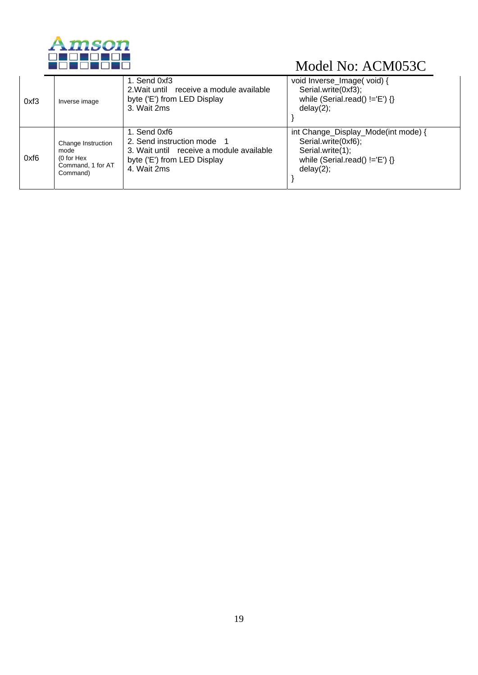

| 0xf3 | Inverse image      | 1. Send 0xf3<br>2. Wait until receive a module available<br>byte ('E') from LED Display<br>3. Wait 2ms | void Inverse_Image( void) {<br>Serial.write(0xf3);<br>while (Serial.read() $!=$ 'E') {}<br>delay(2); |
|------|--------------------|--------------------------------------------------------------------------------------------------------|------------------------------------------------------------------------------------------------------|
| 0xf6 | Change Instruction | 1. Send 0xf6                                                                                           | int Change_Display_Mode(int mode) {                                                                  |
|      | mode               | 2. Send instruction mode 1                                                                             | Serial.write(0xf6);                                                                                  |
|      | (0 for Hex         | 3. Wait until receive a module available                                                               | Serial.write(1);                                                                                     |
|      | Command, 1 for AT  | byte ('E') from LED Display                                                                            | while (Serial.read() $!=$ 'E') {}                                                                    |
|      | Command)           | 4. Wait 2ms                                                                                            | delay(2);                                                                                            |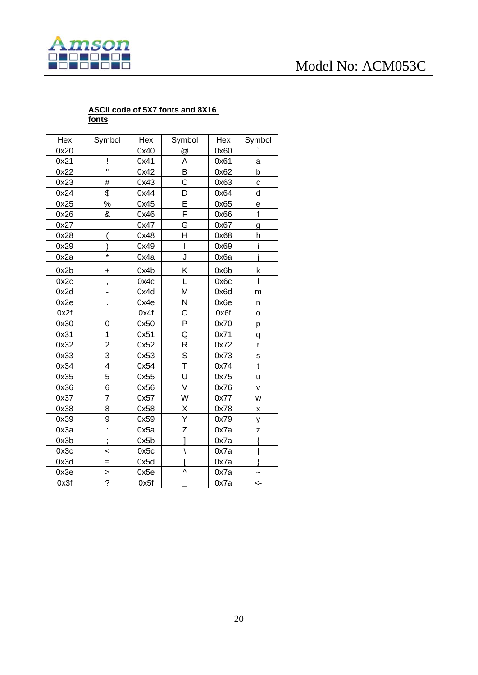

#### **ASCII code of 5X7 fonts and 8X16 fonts**

| Hex  | Symbol                  | Hex  | Symbol                  | Hex  | Symbol        |
|------|-------------------------|------|-------------------------|------|---------------|
| 0x20 |                         | 0x40 | @                       | 0x60 |               |
| 0x21 | Ĩ                       | 0x41 | A                       | 0x61 | а             |
| 0x22 | $\blacksquare$          | 0x42 | B                       | 0x62 | b             |
| 0x23 | #                       | 0x43 | $\overline{\text{c}}$   | 0x63 | C             |
| 0x24 | \$                      | 0x44 | D                       | 0x64 | d             |
| 0x25 | $\%$                    | 0x45 | $\overline{\mathsf{E}}$ | 0x65 | е             |
| 0x26 | $\pmb{8}$               | 0x46 | F                       | 0x66 | $\mathbf f$   |
| 0x27 |                         | 0x47 | G                       | 0x67 | g             |
| 0x28 |                         | 0x48 | H                       | 0x68 | h             |
| 0x29 |                         | 0x49 | T                       | 0x69 | i             |
| 0x2a | ×                       | 0x4a | J                       | 0x6a |               |
| 0x2b | +                       | 0x4b | Κ                       | 0x6b | k             |
| 0x2c | ,                       | 0x4c | L                       | 0x6c | I             |
| 0x2d | -                       | 0x4d | M                       | 0x6d | m             |
| 0x2e |                         | 0x4e | N                       | 0x6e | n             |
| 0x2f |                         | 0x4f | O                       | 0x6f | O             |
| 0x30 | 0                       | 0x50 | P                       | 0x70 | p             |
| 0x31 | 1                       | 0x51 | Q                       | 0x71 | q             |
| 0x32 | $\overline{2}$          | 0x52 | R                       | 0x72 | r             |
| 0x33 | 3                       | 0x53 | S                       | 0x73 | S             |
| 0x34 | $\overline{\mathbf{4}}$ | 0x54 | T                       | 0x74 | $\mathfrak t$ |
| 0x35 | 5                       | 0x55 | U                       | 0x75 | u             |
| 0x36 | 6                       | 0x56 | V                       | 0x76 | V             |
| 0x37 | $\overline{7}$          | 0x57 | W                       | 0x77 | W             |
| 0x38 | 8                       | 0x58 | X                       | 0x78 | Χ             |
| 0x39 | 9                       | 0x59 | Ÿ                       | 0x79 | у             |
| 0x3a | $\vdots$                | 0x5a | Z                       | 0x7a | Z             |
| 0x3b |                         | 0x5b | Ī                       | 0x7a | ł             |
| 0x3c | <                       | 0x5c | Ι                       | 0x7a |               |
| 0x3d | $=$                     | 0x5d |                         | 0x7a |               |
| 0x3e | $\frac{2}{?}$           | 0x5e | ٨                       | 0x7a |               |
| 0x3f |                         | 0x5f |                         | 0x7a | <-            |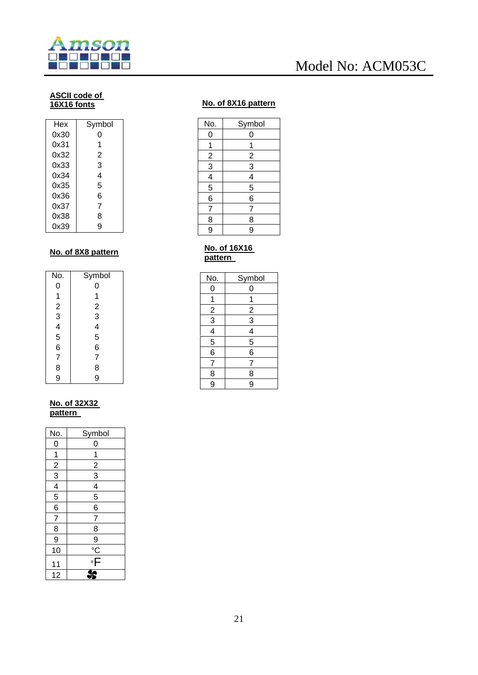

#### **ASCII code of 16X16 fonts**

| Hex  | Symbol |
|------|--------|
| 0x30 | O      |
| 0x31 | 1      |
| 0x32 | 2      |
| 0x33 | 3      |
| 0x34 | 4      |
| 0x35 | 5      |
| 0x36 | 6      |
| 0x37 | 7      |
| 0x38 | 8      |
| 0x39 | g      |

#### **No. of 8X8 pattern**

| No.                                        | Symbol                                              |
|--------------------------------------------|-----------------------------------------------------|
| 0                                          | 0                                                   |
|                                            | 1                                                   |
|                                            |                                                     |
|                                            |                                                     |
|                                            |                                                     |
| 123456                                     | $\begin{array}{c}\n 2 \\ 3 \\ 4 \\ 5\n \end{array}$ |
|                                            | 6                                                   |
|                                            | $\overline{7}$                                      |
| $\begin{array}{c} 7 \\ 8 \\ 9 \end{array}$ | 8                                                   |
|                                            | 9                                                   |

#### **No. of 32X32 pattern**

| No.                         | Symbol                                  |
|-----------------------------|-----------------------------------------|
| 0                           | 0                                       |
| $\overline{1}$              | 1                                       |
|                             |                                         |
| $\frac{2}{3}$ $\frac{4}{5}$ | $\frac{2}{3}$                           |
|                             | $\frac{4}{5}$                           |
|                             |                                         |
| $\overline{6}$              | $\overline{6}$                          |
| $\overline{7}$              | $\overline{7}$                          |
| $\overline{8}$              | 8                                       |
| 9                           |                                         |
| 10                          |                                         |
| 11                          | $\frac{9}{\degree}$ $\frac{8}{\degree}$ |
| 12                          |                                         |

### **No. of 8X16 pattern**

| No.            | Symbol         |
|----------------|----------------|
| 0              | 0              |
| 1              | 1              |
|                |                |
| $\frac{2}{3}$  | $\frac{2}{3}$  |
|                | $\overline{4}$ |
| 5              | 5              |
| 6              | $\overline{6}$ |
| $\overline{7}$ | 7              |
| 8              | 8              |
| 9              | 9              |
|                |                |

#### **No. of 16X16 pattern**

| No.            | Symbol         |
|----------------|----------------|
| 0              | 0              |
| 1              | 1              |
| $\overline{2}$ | $\overline{2}$ |
|                | $\overline{3}$ |
| $\frac{3}{4}$  | $\overline{4}$ |
|                | $\overline{5}$ |
| 6              | 6              |
| $\overline{7}$ | 7              |
| $\overline{8}$ | 8              |
| 9              | 9              |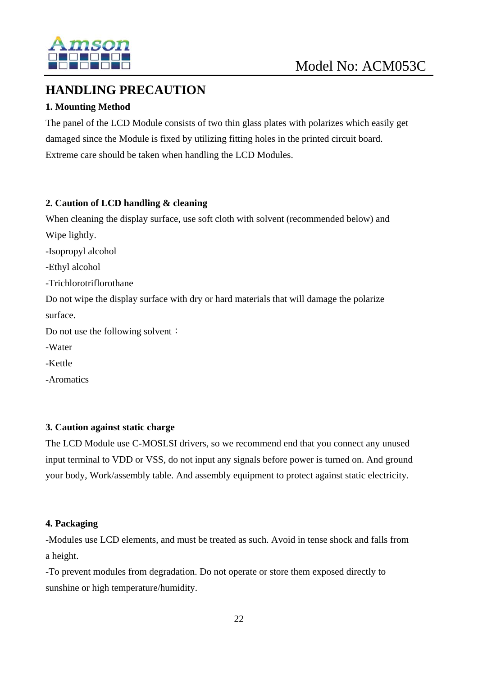

### **HANDLING PRECAUTION**

#### **1. Mounting Method**

The panel of the LCD Module consists of two thin glass plates with polarizes which easily get damaged since the Module is fixed by utilizing fitting holes in the printed circuit board. Extreme care should be taken when handling the LCD Modules.

#### **2. Caution of LCD handling & cleaning**

When cleaning the display surface, use soft cloth with solvent (recommended below) and Wipe lightly.

-Isopropyl alcohol

-Ethyl alcohol

-Trichlorotriflorothane

Do not wipe the display surface with dry or hard materials that will damage the polarize surface.

Do not use the following solvent:

-Water

-Kettle

-Aromatics

#### **3. Caution against static charge**

The LCD Module use C-MOSLSI drivers, so we recommend end that you connect any unused input terminal to VDD or VSS, do not input any signals before power is turned on. And ground your body, Work/assembly table. And assembly equipment to protect against static electricity.

#### **4. Packaging**

-Modules use LCD elements, and must be treated as such. Avoid in tense shock and falls from a height.

-To prevent modules from degradation. Do not operate or store them exposed directly to sunshine or high temperature/humidity.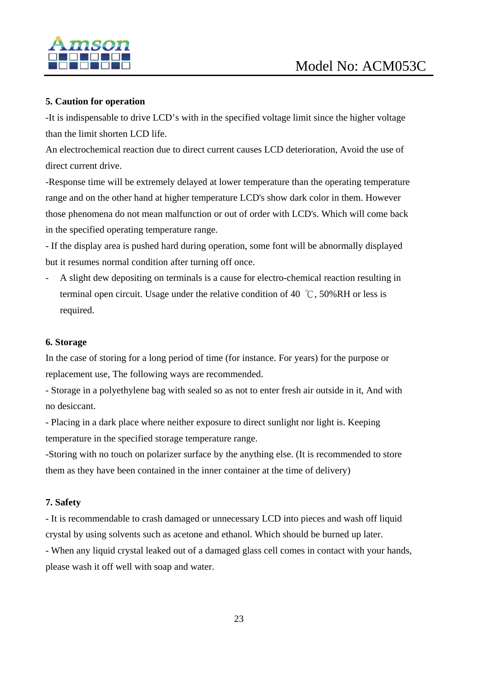

#### **5. Caution for operation**

-It is indispensable to drive LCD's with in the specified voltage limit since the higher voltage than the limit shorten LCD life.

An electrochemical reaction due to direct current causes LCD deterioration, Avoid the use of direct current drive.

-Response time will be extremely delayed at lower temperature than the operating temperature range and on the other hand at higher temperature LCD's show dark color in them. However those phenomena do not mean malfunction or out of order with LCD's. Which will come back in the specified operating temperature range.

- If the display area is pushed hard during operation, some font will be abnormally displayed but it resumes normal condition after turning off once.

- A slight dew depositing on terminals is a cause for electro-chemical reaction resulting in terminal open circuit. Usage under the relative condition of 40 ℃, 50%RH or less is required.

#### **6. Storage**

In the case of storing for a long period of time (for instance. For years) for the purpose or replacement use, The following ways are recommended.

- Storage in a polyethylene bag with sealed so as not to enter fresh air outside in it, And with no desiccant.

- Placing in a dark place where neither exposure to direct sunlight nor light is. Keeping temperature in the specified storage temperature range.

-Storing with no touch on polarizer surface by the anything else. (It is recommended to store them as they have been contained in the inner container at the time of delivery)

#### **7. Safety**

- It is recommendable to crash damaged or unnecessary LCD into pieces and wash off liquid crystal by using solvents such as acetone and ethanol. Which should be burned up later.

- When any liquid crystal leaked out of a damaged glass cell comes in contact with your hands, please wash it off well with soap and water.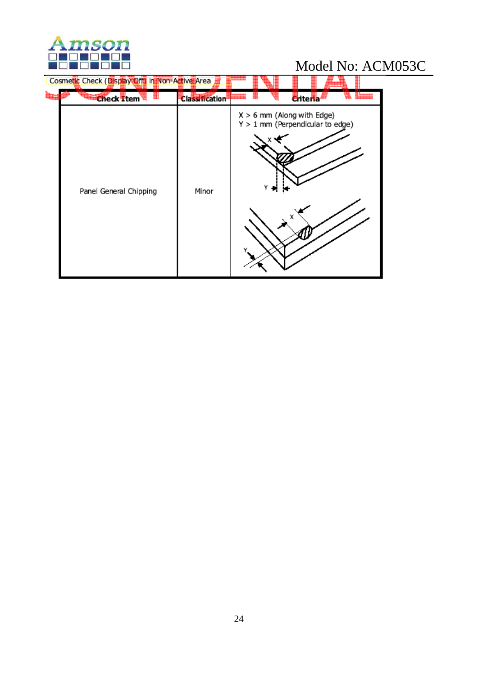

| Cosmetic Check (Display Off) in Non-Active Area |                       |                                                                    |                  |  |
|-------------------------------------------------|-----------------------|--------------------------------------------------------------------|------------------|--|
| <b>Check Item</b>                               | <b>Classification</b> | سم                                                                 | <b>C</b> riteria |  |
| Panel General Chipping                          | Minor                 | $X > 6$ mm (Along with Edge)<br>$Y > 1$ mm (Perpendicular to edge) | х                |  |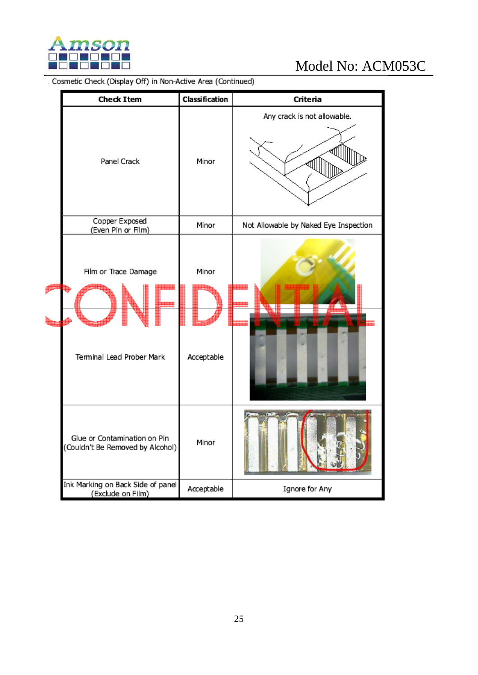

|  | <b>Check Item</b>                                                | Classification      | Criteria                              |
|--|------------------------------------------------------------------|---------------------|---------------------------------------|
|  | Panel Crack                                                      | Minor               | Any crack is not allowable.           |
|  | Copper Exposed<br>(Even Pin or Film)                             | Minor               | Not Allowable by Naked Eye Inspection |
|  | Film or Trace Damage<br>Terminal Lead Prober Mark                | Minor<br>Acceptable |                                       |
|  | Glue or Contamination on Pin<br>(Couldn't Be Removed by Alcohol) | Minor               |                                       |
|  | Ink Marking on Back Side of panel<br>(Exclude on Film)           | Acceptable          | Ignore for Any                        |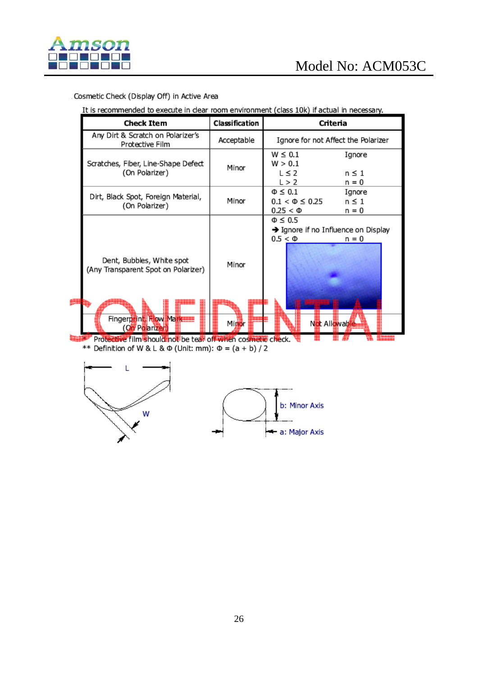

#### Cosmetic Check (Display Off) in Active Area

It is recommended to execute in clear room environment (class 10k) if actual in necessary.

| <b>Check Item</b>                                                                                               | Classification | Criteria                                                                                         |  |  |
|-----------------------------------------------------------------------------------------------------------------|----------------|--------------------------------------------------------------------------------------------------|--|--|
| Any Dirt & Scratch on Polarizer's<br>Protective Film                                                            | Acceptable     | Ignore for not Affect the Polarizer                                                              |  |  |
| Scratches, Fiber, Line-Shape Defect<br>(On Polarizer)                                                           | Minor          | $W \leq 0.1$<br>Ignore<br>W > 0.1<br>$L \leq 2$<br>n ≤ 1<br>L > 2<br>n = 0                       |  |  |
| Dirt, Black Spot, Foreign Material,<br>(On Polarizer)                                                           | Minor          | $\Phi \leq 0.1$<br>Ignore<br>$0.1 < \Phi \leq 0.25$<br>$n \leq 1$<br>$0.25 < \Phi$<br>n = 0      |  |  |
| Dent, Bubbles, White spot<br>(Any Transparent Spot on Polarizer)<br>Fingerprint, How Markett<br>(Oil Polarizer) | Minor<br>Minor | $\Phi \leq 0.5$<br>→ Ignore if no Influence on Display<br>$0.5 < \Phi$<br>n = 0<br>Not Allowable |  |  |
| Protective film should not be tear off when cosmetic check.                                                     |                |                                                                                                  |  |  |

\*\* Definition of W & L &  $\Phi$  (Unit: mm):  $\Phi = (a + b)/2$